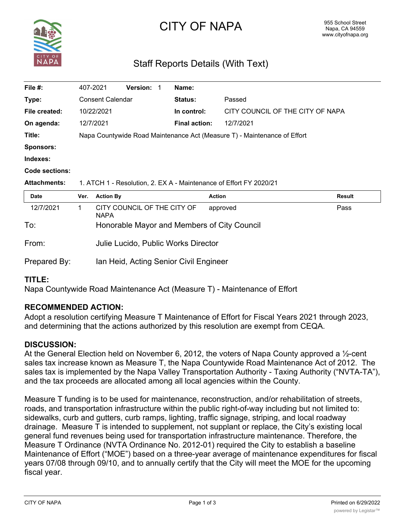

# CITY OF NAPA

# Staff Reports Details (With Text)

| File $#$ :            | 407-2021                                                                 |                                             | <b>Version:</b> | 1 | Name:                |                                  |               |  |
|-----------------------|--------------------------------------------------------------------------|---------------------------------------------|-----------------|---|----------------------|----------------------------------|---------------|--|
| Type:                 | <b>Consent Calendar</b>                                                  |                                             |                 |   | <b>Status:</b>       | Passed                           |               |  |
| File created:         | 10/22/2021                                                               |                                             |                 |   | In control:          | CITY COUNCIL OF THE CITY OF NAPA |               |  |
| On agenda:            |                                                                          | 12/7/2021                                   |                 |   | <b>Final action:</b> | 12/7/2021                        |               |  |
| Title:                | Napa Countywide Road Maintenance Act (Measure T) - Maintenance of Effort |                                             |                 |   |                      |                                  |               |  |
| <b>Sponsors:</b>      |                                                                          |                                             |                 |   |                      |                                  |               |  |
| Indexes:              |                                                                          |                                             |                 |   |                      |                                  |               |  |
| <b>Code sections:</b> |                                                                          |                                             |                 |   |                      |                                  |               |  |
| <b>Attachments:</b>   | 1. ATCH 1 - Resolution, 2. EX A - Maintenance of Effort FY 2020/21       |                                             |                 |   |                      |                                  |               |  |
| <b>Date</b>           | Ver.                                                                     | <b>Action By</b>                            |                 |   | <b>Action</b>        |                                  | <b>Result</b> |  |
| 12/7/2021             | 1                                                                        | CITY COUNCIL OF THE CITY OF<br><b>NAPA</b>  |                 |   |                      | approved                         | Pass          |  |
| To:                   |                                                                          | Honorable Mayor and Members of City Council |                 |   |                      |                                  |               |  |
| From:                 |                                                                          | Julie Lucido, Public Works Director         |                 |   |                      |                                  |               |  |
| Prepared By:          | Ian Heid, Acting Senior Civil Engineer                                   |                                             |                 |   |                      |                                  |               |  |

# **TITLE:**

Napa Countywide Road Maintenance Act (Measure T) - Maintenance of Effort

# **RECOMMENDED ACTION:**

Adopt a resolution certifying Measure T Maintenance of Effort for Fiscal Years 2021 through 2023, and determining that the actions authorized by this resolution are exempt from CEQA.

# **DISCUSSION:**

At the General Election held on November 6, 2012, the voters of Napa County approved a  $\frac{1}{2}$ -cent sales tax increase known as Measure T, the Napa Countywide Road Maintenance Act of 2012. The sales tax is implemented by the Napa Valley Transportation Authority - Taxing Authority ("NVTA-TA"), and the tax proceeds are allocated among all local agencies within the County.

Measure T funding is to be used for maintenance, reconstruction, and/or rehabilitation of streets, roads, and transportation infrastructure within the public right-of-way including but not limited to: sidewalks, curb and gutters, curb ramps, lighting, traffic signage, striping, and local roadway drainage. Measure T is intended to supplement, not supplant or replace, the City's existing local general fund revenues being used for transportation infrastructure maintenance. Therefore, the Measure T Ordinance (NVTA Ordinance No. 2012-01) required the City to establish a baseline Maintenance of Effort ("MOE") based on a three-year average of maintenance expenditures for fiscal years 07/08 through 09/10, and to annually certify that the City will meet the MOE for the upcoming fiscal year.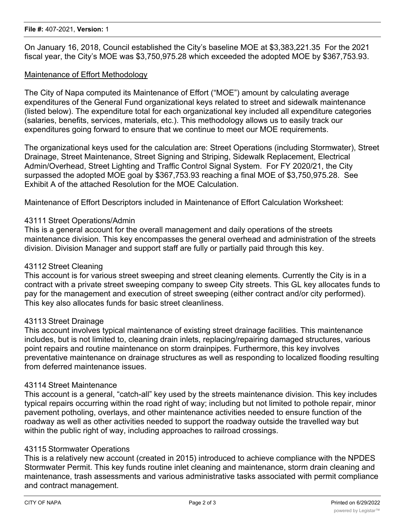On January 16, 2018, Council established the City's baseline MOE at \$3,383,221.35 For the 2021 fiscal year, the City's MOE was \$3,750,975.28 which exceeded the adopted MOE by \$367,753.93.

# Maintenance of Effort Methodology

The City of Napa computed its Maintenance of Effort ("MOE") amount by calculating average expenditures of the General Fund organizational keys related to street and sidewalk maintenance (listed below). The expenditure total for each organizational key included all expenditure categories (salaries, benefits, services, materials, etc.). This methodology allows us to easily track our expenditures going forward to ensure that we continue to meet our MOE requirements.

The organizational keys used for the calculation are: Street Operations (including Stormwater), Street Drainage, Street Maintenance, Street Signing and Striping, Sidewalk Replacement, Electrical Admin/Overhead, Street Lighting and Traffic Control Signal System. For FY 2020/21, the City surpassed the adopted MOE goal by \$367,753.93 reaching a final MOE of \$3,750,975.28. See Exhibit A of the attached Resolution for the MOE Calculation.

Maintenance of Effort Descriptors included in Maintenance of Effort Calculation Worksheet:

#### 43111 Street Operations/Admin

This is a general account for the overall management and daily operations of the streets maintenance division. This key encompasses the general overhead and administration of the streets division. Division Manager and support staff are fully or partially paid through this key.

#### 43112 Street Cleaning

This account is for various street sweeping and street cleaning elements. Currently the City is in a contract with a private street sweeping company to sweep City streets. This GL key allocates funds to pay for the management and execution of street sweeping (either contract and/or city performed). This key also allocates funds for basic street cleanliness.

#### 43113 Street Drainage

This account involves typical maintenance of existing street drainage facilities. This maintenance includes, but is not limited to, cleaning drain inlets, replacing/repairing damaged structures, various point repairs and routine maintenance on storm drainpipes. Furthermore, this key involves preventative maintenance on drainage structures as well as responding to localized flooding resulting from deferred maintenance issues.

#### 43114 Street Maintenance

This account is a general, "catch-all" key used by the streets maintenance division. This key includes typical repairs occurring within the road right of way; including but not limited to pothole repair, minor pavement potholing, overlays, and other maintenance activities needed to ensure function of the roadway as well as other activities needed to support the roadway outside the travelled way but within the public right of way, including approaches to railroad crossings.

#### 43115 Stormwater Operations

This is a relatively new account (created in 2015) introduced to achieve compliance with the NPDES Stormwater Permit. This key funds routine inlet cleaning and maintenance, storm drain cleaning and maintenance, trash assessments and various administrative tasks associated with permit compliance and contract management.